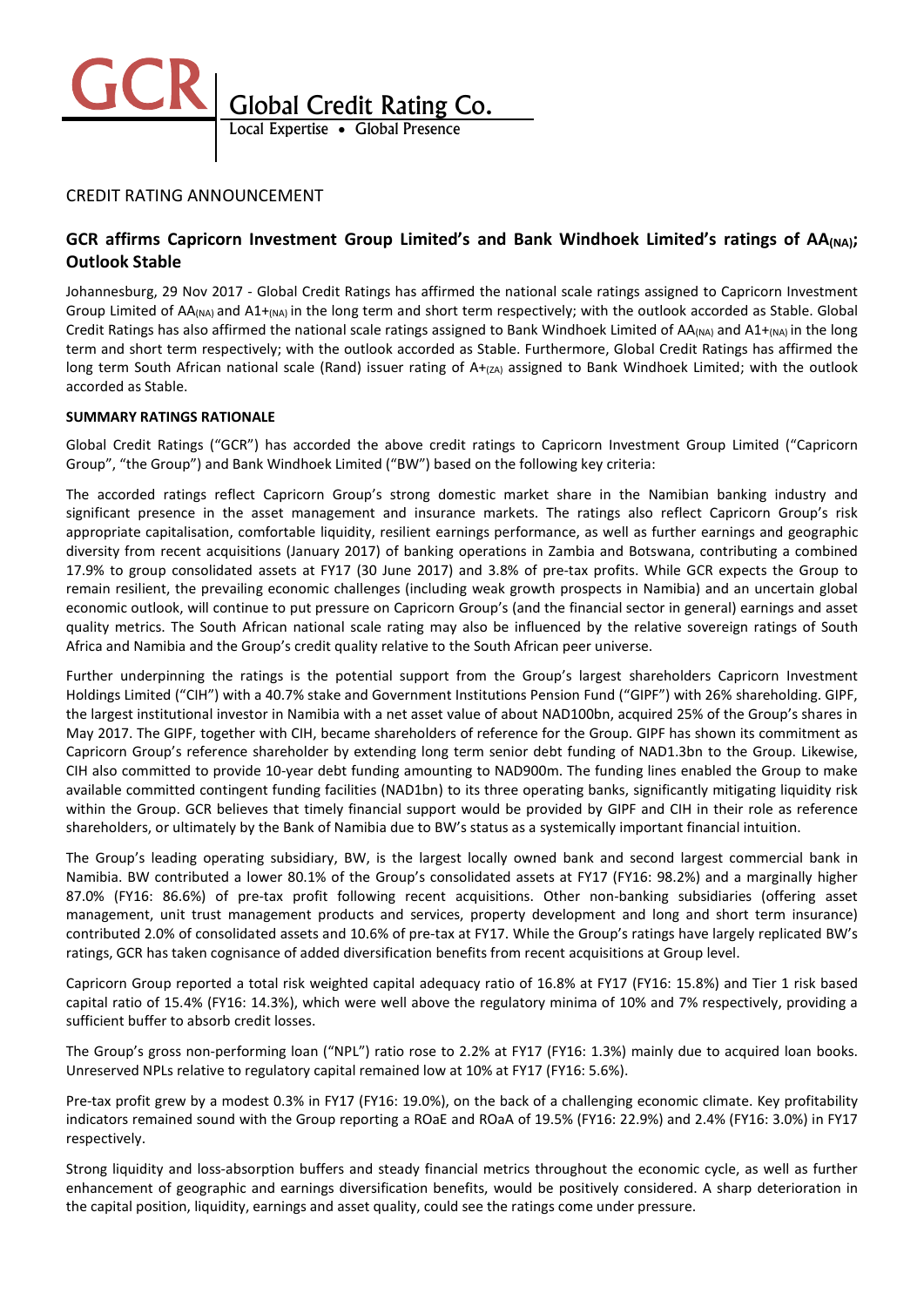

## CREDIT RATING ANNOUNCEMENT

# GCR affirms Capricorn Investment Group Limited's and Bank Windhoek Limited's ratings of AA<sub>(NA)</sub>; Outlook Stable

Johannesburg, 29 Nov 2017 - Global Credit Ratings has affirmed the national scale ratings assigned to Capricorn Investment Group Limited of AA(NA) and A1+(NA) in the long term and short term respectively; with the outlook accorded as Stable. Global Credit Ratings has also affirmed the national scale ratings assigned to Bank Windhoek Limited of  $AA_{(NA)}$  and  $A1+_{(NA)}$  in the long term and short term respectively; with the outlook accorded as Stable. Furthermore, Global Credit Ratings has affirmed the long term South African national scale (Rand) issuer rating of A+(zA) assigned to Bank Windhoek Limited; with the outlook accorded as Stable.

### SUMMARY RATINGS RATIONALE

Global Credit Ratings ("GCR") has accorded the above credit ratings to Capricorn Investment Group Limited ("Capricorn Group", "the Group") and Bank Windhoek Limited ("BW") based on the following key criteria:

The accorded ratings reflect Capricorn Group's strong domestic market share in the Namibian banking industry and significant presence in the asset management and insurance markets. The ratings also reflect Capricorn Group's risk appropriate capitalisation, comfortable liquidity, resilient earnings performance, as well as further earnings and geographic diversity from recent acquisitions (January 2017) of banking operations in Zambia and Botswana, contributing a combined 17.9% to group consolidated assets at FY17 (30 June 2017) and 3.8% of pre-tax profits. While GCR expects the Group to remain resilient, the prevailing economic challenges (including weak growth prospects in Namibia) and an uncertain global economic outlook, will continue to put pressure on Capricorn Group's (and the financial sector in general) earnings and asset quality metrics. The South African national scale rating may also be influenced by the relative sovereign ratings of South Africa and Namibia and the Group's credit quality relative to the South African peer universe.

Further underpinning the ratings is the potential support from the Group's largest shareholders Capricorn Investment Holdings Limited ("CIH") with a 40.7% stake and Government Institutions Pension Fund ("GIPF") with 26% shareholding. GIPF, the largest institutional investor in Namibia with a net asset value of about NAD100bn, acquired 25% of the Group's shares in May 2017. The GIPF, together with CIH, became shareholders of reference for the Group. GIPF has shown its commitment as Capricorn Group's reference shareholder by extending long term senior debt funding of NAD1.3bn to the Group. Likewise, CIH also committed to provide 10-year debt funding amounting to NAD900m. The funding lines enabled the Group to make available committed contingent funding facilities (NAD1bn) to its three operating banks, significantly mitigating liquidity risk within the Group. GCR believes that timely financial support would be provided by GIPF and CIH in their role as reference shareholders, or ultimately by the Bank of Namibia due to BW's status as a systemically important financial intuition.

The Group's leading operating subsidiary, BW, is the largest locally owned bank and second largest commercial bank in Namibia. BW contributed a lower 80.1% of the Group's consolidated assets at FY17 (FY16: 98.2%) and a marginally higher 87.0% (FY16: 86.6%) of pre-tax profit following recent acquisitions. Other non-banking subsidiaries (offering asset management, unit trust management products and services, property development and long and short term insurance) contributed 2.0% of consolidated assets and 10.6% of pre-tax at FY17. While the Group's ratings have largely replicated BW's ratings, GCR has taken cognisance of added diversification benefits from recent acquisitions at Group level.

Capricorn Group reported a total risk weighted capital adequacy ratio of 16.8% at FY17 (FY16: 15.8%) and Tier 1 risk based capital ratio of 15.4% (FY16: 14.3%), which were well above the regulatory minima of 10% and 7% respectively, providing a sufficient buffer to absorb credit losses.

The Group's gross non-performing loan ("NPL") ratio rose to 2.2% at FY17 (FY16: 1.3%) mainly due to acquired loan books. Unreserved NPLs relative to regulatory capital remained low at 10% at FY17 (FY16: 5.6%).

Pre-tax profit grew by a modest 0.3% in FY17 (FY16: 19.0%), on the back of a challenging economic climate. Key profitability indicators remained sound with the Group reporting a ROaE and ROaA of 19.5% (FY16: 22.9%) and 2.4% (FY16: 3.0%) in FY17 respectively.

Strong liquidity and loss-absorption buffers and steady financial metrics throughout the economic cycle, as well as further enhancement of geographic and earnings diversification benefits, would be positively considered. A sharp deterioration in the capital position, liquidity, earnings and asset quality, could see the ratings come under pressure.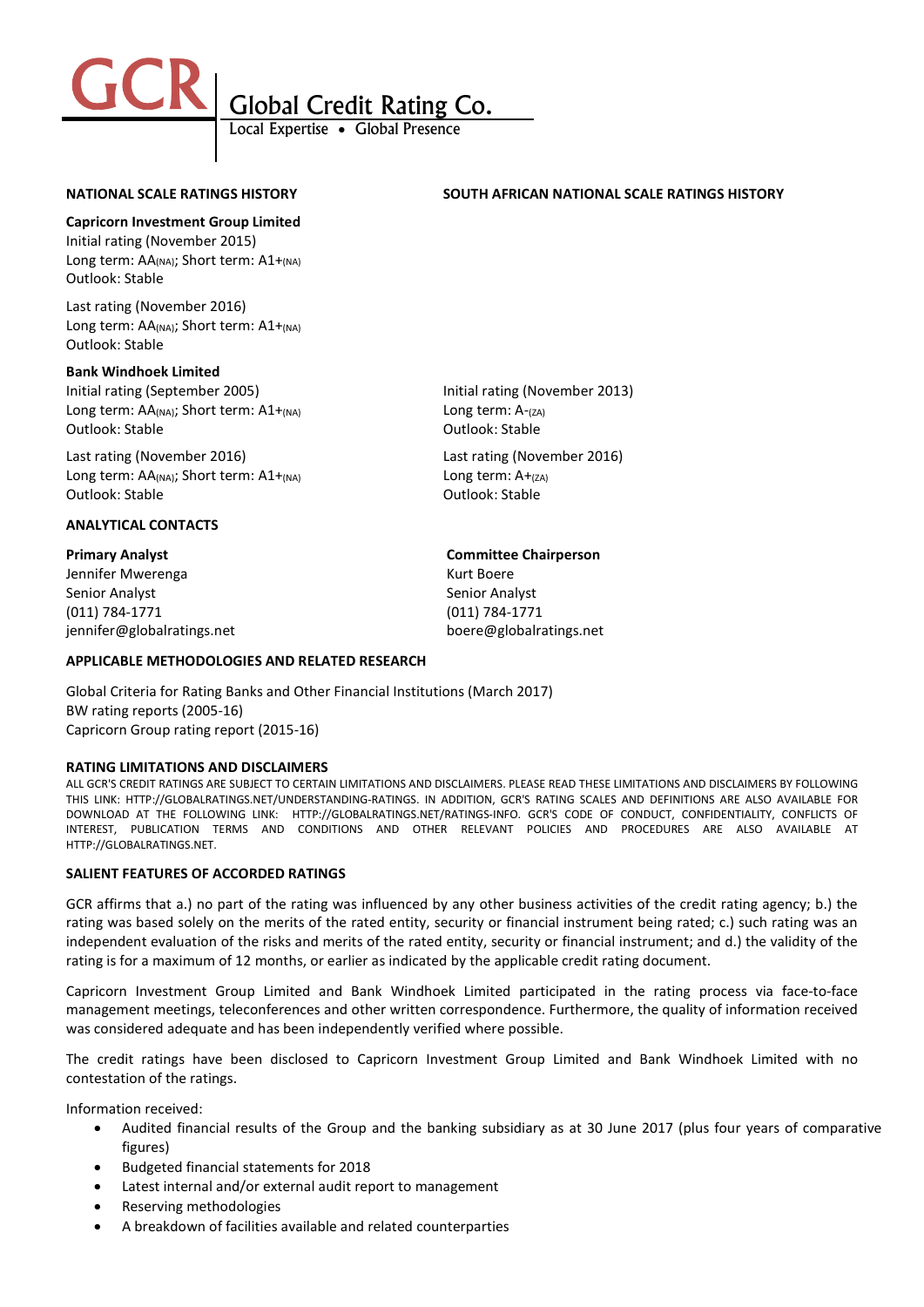

### NATIONAL SCALE RATINGS HISTORY SOUTH AFRICAN NATIONAL SCALE RATINGS HISTORY

Capricorn Investment Group Limited

Initial rating (November 2015) Long term: AA(NA); Short term: A1+(NA) Outlook: Stable

Last rating (November 2016) Long term: AA(NA); Short term: A1+(NA) Outlook: Stable

### Bank Windhoek Limited

Initial rating (September 2005) Initial rating (November 2013) Long term:  $AA_{(NA)}$ ; Short term:  $A1+_{(NA)}$  Long term:  $A-_{(ZA)}$ Outlook: Stable **Outlook: Stable** Outlook: Stable

Last rating (November 2016) Last rating (November 2016) Long term:  $AA_{(NA)}$ ; Short term:  $A1+_{(NA)}$  Long term:  $A+_{(ZA)}$ Outlook: Stable Outlook: Stable

### ANALYTICAL CONTACTS

Jennifer Mwerenga Kurt Boere Senior Analyst Senior Analyst (011) 784-1771 (011) 784-1771 jennifer@globalratings.net boere@globalratings.net

### Primary Analyst Committee Chairperson

### APPLICABLE METHODOLOGIES AND RELATED RESEARCH

Global Criteria for Rating Banks and Other Financial Institutions (March 2017) BW rating reports (2005-16) Capricorn Group rating report (2015-16)

### RATING LIMITATIONS AND DISCLAIMERS

ALL GCR'S CREDIT RATINGS ARE SUBJECT TO CERTAIN LIMITATIONS AND DISCLAIMERS. PLEASE READ THESE LIMITATIONS AND DISCLAIMERS BY FOLLOWING THIS LINK: HTTP://GLOBALRATINGS.NET/UNDERSTANDING-RATINGS. IN ADDITION, GCR'S RATING SCALES AND DEFINITIONS ARE ALSO AVAILABLE FOR DOWNLOAD AT THE FOLLOWING LINK: HTTP://GLOBALRATINGS.NET/RATINGS-INFO. GCR'S CODE OF CONDUCT, CONFIDENTIALITY, CONFLICTS OF INTEREST, PUBLICATION TERMS AND CONDITIONS AND OTHER RELEVANT POLICIES AND PROCEDURES ARE ALSO AVAILABLE AT HTTP://GLOBALRATINGS.NET.

### SALIENT FEATURES OF ACCORDED RATINGS

GCR affirms that a.) no part of the rating was influenced by any other business activities of the credit rating agency; b.) the rating was based solely on the merits of the rated entity, security or financial instrument being rated; c.) such rating was an independent evaluation of the risks and merits of the rated entity, security or financial instrument; and d.) the validity of the rating is for a maximum of 12 months, or earlier as indicated by the applicable credit rating document.

Capricorn Investment Group Limited and Bank Windhoek Limited participated in the rating process via face-to-face management meetings, teleconferences and other written correspondence. Furthermore, the quality of information received was considered adequate and has been independently verified where possible.

The credit ratings have been disclosed to Capricorn Investment Group Limited and Bank Windhoek Limited with no contestation of the ratings.

Information received:

- Audited financial results of the Group and the banking subsidiary as at 30 June 2017 (plus four years of comparative figures)
- Budgeted financial statements for 2018
- Latest internal and/or external audit report to management
- Reserving methodologies
- A breakdown of facilities available and related counterparties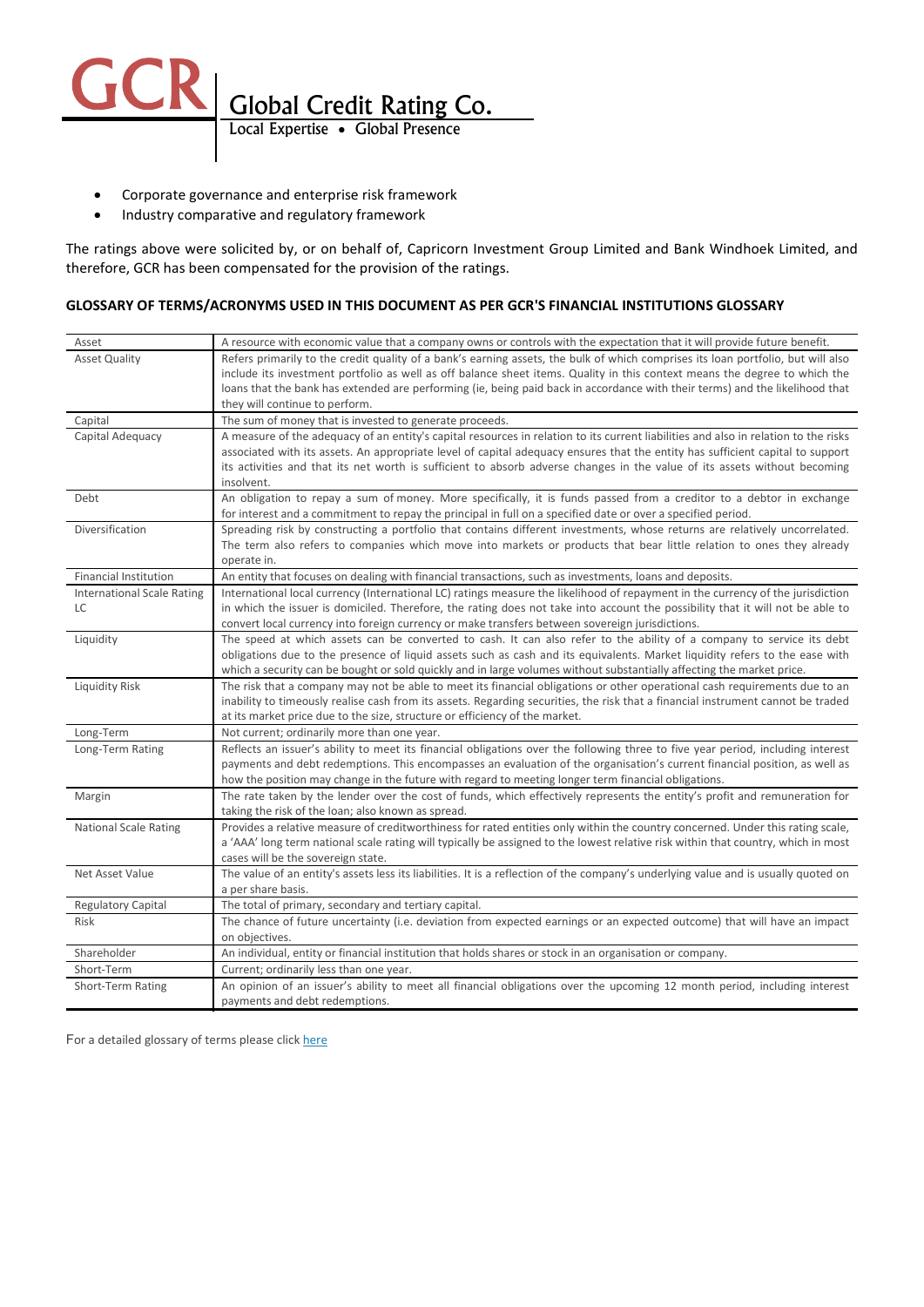

- Corporate governance and enterprise risk framework
- Industry comparative and regulatory framework

The ratings above were solicited by, or on behalf of, Capricorn Investment Group Limited and Bank Windhoek Limited, and therefore, GCR has been compensated for the provision of the ratings.

### GLOSSARY OF TERMS/ACRONYMS USED IN THIS DOCUMENT AS PER GCR'S FINANCIAL INSTITUTIONS GLOSSARY

| Asset                             | A resource with economic value that a company owns or controls with the expectation that it will provide future benefit.                   |
|-----------------------------------|--------------------------------------------------------------------------------------------------------------------------------------------|
| <b>Asset Quality</b>              | Refers primarily to the credit quality of a bank's earning assets, the bulk of which comprises its loan portfolio, but will also           |
|                                   | include its investment portfolio as well as off balance sheet items. Quality in this context means the degree to which the                 |
|                                   | loans that the bank has extended are performing (ie, being paid back in accordance with their terms) and the likelihood that               |
|                                   | they will continue to perform.                                                                                                             |
| Capital                           | The sum of money that is invested to generate proceeds.                                                                                    |
| Capital Adequacy                  | A measure of the adequacy of an entity's capital resources in relation to its current liabilities and also in relation to the risks        |
|                                   | associated with its assets. An appropriate level of capital adequacy ensures that the entity has sufficient capital to support             |
|                                   | its activities and that its net worth is sufficient to absorb adverse changes in the value of its assets without becoming                  |
|                                   | insolvent.                                                                                                                                 |
| Debt                              | An obligation to repay a sum of money. More specifically, it is funds passed from a creditor to a debtor in exchange                       |
|                                   | for interest and a commitment to repay the principal in full on a specified date or over a specified period.                               |
| Diversification                   | Spreading risk by constructing a portfolio that contains different investments, whose returns are relatively uncorrelated.                 |
|                                   | The term also refers to companies which move into markets or products that bear little relation to ones they already<br>operate in.        |
| <b>Financial Institution</b>      | An entity that focuses on dealing with financial transactions, such as investments, loans and deposits.                                    |
| <b>International Scale Rating</b> | International local currency (International LC) ratings measure the likelihood of repayment in the currency of the jurisdiction            |
| LC                                | in which the issuer is domiciled. Therefore, the rating does not take into account the possibility that it will not be able to             |
|                                   | convert local currency into foreign currency or make transfers between sovereign jurisdictions.                                            |
| Liquidity                         | The speed at which assets can be converted to cash. It can also refer to the ability of a company to service its debt                      |
|                                   | obligations due to the presence of liquid assets such as cash and its equivalents. Market liquidity refers to the ease with                |
|                                   | which a security can be bought or sold quickly and in large volumes without substantially affecting the market price.                      |
| Liquidity Risk                    | The risk that a company may not be able to meet its financial obligations or other operational cash requirements due to an                 |
|                                   | inability to timeously realise cash from its assets. Regarding securities, the risk that a financial instrument cannot be traded           |
|                                   | at its market price due to the size, structure or efficiency of the market.                                                                |
| Long-Term                         | Not current; ordinarily more than one year.                                                                                                |
| Long-Term Rating                  | Reflects an issuer's ability to meet its financial obligations over the following three to five year period, including interest            |
|                                   | payments and debt redemptions. This encompasses an evaluation of the organisation's current financial position, as well as                 |
|                                   | how the position may change in the future with regard to meeting longer term financial obligations.                                        |
| Margin                            | The rate taken by the lender over the cost of funds, which effectively represents the entity's profit and remuneration for                 |
|                                   | taking the risk of the loan; also known as spread.                                                                                         |
| <b>National Scale Rating</b>      | Provides a relative measure of creditworthiness for rated entities only within the country concerned. Under this rating scale,             |
|                                   | a 'AAA' long term national scale rating will typically be assigned to the lowest relative risk within that country, which in most          |
|                                   | cases will be the sovereign state.                                                                                                         |
| Net Asset Value                   | The value of an entity's assets less its liabilities. It is a reflection of the company's underlying value and is usually quoted on        |
| <b>Regulatory Capital</b>         | a per share basis.                                                                                                                         |
| <b>Risk</b>                       | The total of primary, secondary and tertiary capital.                                                                                      |
|                                   | The chance of future uncertainty (i.e. deviation from expected earnings or an expected outcome) that will have an impact<br>on objectives. |
| Shareholder                       | An individual, entity or financial institution that holds shares or stock in an organisation or company.                                   |
| Short-Term                        | Current; ordinarily less than one year.                                                                                                    |
| Short-Term Rating                 | An opinion of an issuer's ability to meet all financial obligations over the upcoming 12 month period, including interest                  |
|                                   | payments and debt redemptions.                                                                                                             |
|                                   |                                                                                                                                            |

For a detailed glossary of terms please click here